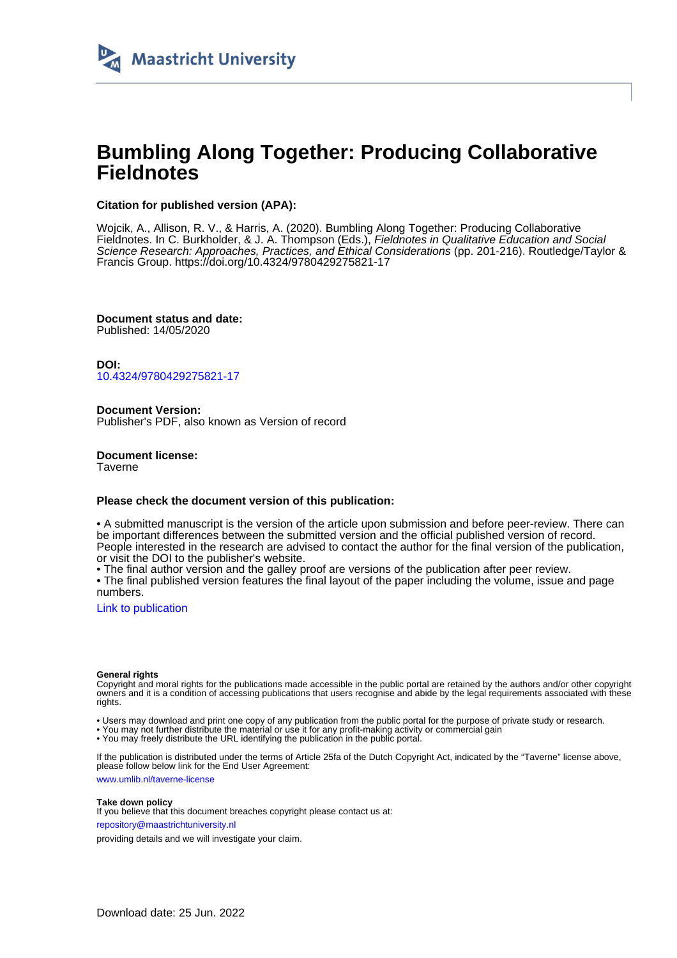

# **Bumbling Along Together: Producing Collaborative Fieldnotes**

# **Citation for published version (APA):**

Wojcik, A., Allison, R. V., & Harris, A. (2020). Bumbling Along Together: Producing Collaborative Fieldnotes. In C. Burkholder, & J. A. Thompson (Eds.), Fieldnotes in Qualitative Education and Social Science Research: Approaches, Practices, and Ethical Considerations (pp. 201-216). Routledge/Taylor & Francis Group. <https://doi.org/10.4324/9780429275821-17>

**Document status and date:** Published: 14/05/2020

**DOI:** [10.4324/9780429275821-17](https://doi.org/10.4324/9780429275821-17)

**Document Version:** Publisher's PDF, also known as Version of record

**Document license: Taverne** 

#### **Please check the document version of this publication:**

• A submitted manuscript is the version of the article upon submission and before peer-review. There can be important differences between the submitted version and the official published version of record. People interested in the research are advised to contact the author for the final version of the publication, or visit the DOI to the publisher's website.

• The final author version and the galley proof are versions of the publication after peer review.

• The final published version features the final layout of the paper including the volume, issue and page numbers.

[Link to publication](https://cris.maastrichtuniversity.nl/en/publications/56bb4280-566e-491c-b5e3-5f8b7ad7a29a)

#### **General rights**

Copyright and moral rights for the publications made accessible in the public portal are retained by the authors and/or other copyright owners and it is a condition of accessing publications that users recognise and abide by the legal requirements associated with these rights.

• Users may download and print one copy of any publication from the public portal for the purpose of private study or research.

• You may not further distribute the material or use it for any profit-making activity or commercial gain

• You may freely distribute the URL identifying the publication in the public portal.

If the publication is distributed under the terms of Article 25fa of the Dutch Copyright Act, indicated by the "Taverne" license above, please follow below link for the End User Agreement:

www.umlib.nl/taverne-license

#### **Take down policy**

If you believe that this document breaches copyright please contact us at: repository@maastrichtuniversity.nl

providing details and we will investigate your claim.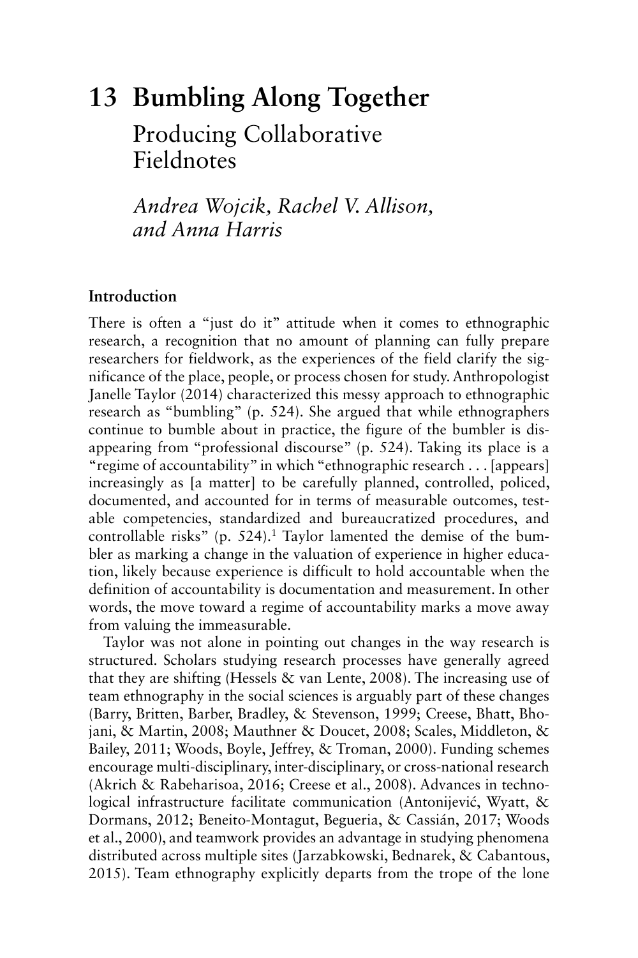# **13 Bumbling Along Together**  Producing Collaborative

Fieldnotes

*Andrea Wojcik, Rachel V. Allison, and Anna Harris* 

# **Introduction**

There is often a "just do it" attitude when it comes to ethnographic research, a recognition that no amount of planning can fully prepare researchers for fieldwork, as the experiences of the field clarify the significance of the place, people, or process chosen for study. Anthropologist Janelle Taylor (2014) characterized this messy approach to ethnographic research as "bumbling" (p. 524). She argued that while ethnographers continue to bumble about in practice, the figure of the bumbler is disappearing from "professional discourse" (p. 524). Taking its place is a "regime of accountability" in which "ethnographic research . . . [appears] increasingly as [a matter] to be carefully planned, controlled, policed, documented, and accounted for in terms of measurable outcomes, testable competencies, standardized and bureaucratized procedures, and controllable risks" (p.  $524$ ).<sup>1</sup> Taylor lamented the demise of the bumbler as marking a change in the valuation of experience in higher education, likely because experience is difficult to hold accountable when the definition of accountability is documentation and measurement. In other words, the move toward a regime of accountability marks a move away from valuing the immeasurable.

Taylor was not alone in pointing out changes in the way research is structured. Scholars studying research processes have generally agreed that they are shifting (Hessels  $\&$  van Lente, 2008). The increasing use of team ethnography in the social sciences is arguably part of these changes (Barry, Britten, Barber, Bradley, & Stevenson, 1999; Creese, Bhatt, Bhojani, & Martin, 2008; Mauthner & Doucet, 2008; Scales, Middleton, & Bailey, 2011; Woods, Boyle, Jeffrey, & Troman, 2000). Funding schemes encourage multi-disciplinary, inter-disciplinary, or cross-national research (Akrich & Rabeharisoa, 2016; Creese et al., 2008). Advances in technological infrastructure facilitate communication ( Antonijević, Wyatt, & Dormans, 2012; Beneito-Montagut, Begueria, & Cassián, 2017; Woods et al., 2000), and teamwork provides an advantage in studying phenomena distributed across multiple sites ( Jarzabkowski, Bednarek, & Cabantous, 2015 ). Team ethnography explicitly departs from the trope of the lone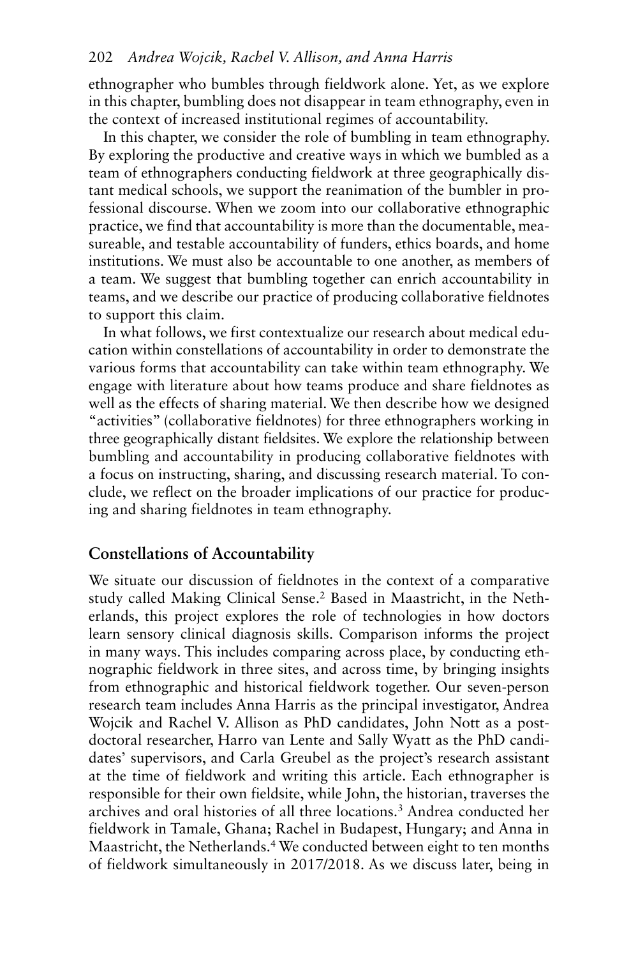ethnographer who bumbles through fieldwork alone. Yet, as we explore in this chapter, bumbling does not disappear in team ethnography, even in the context of increased institutional regimes of accountability.

In this chapter, we consider the role of bumbling in team ethnography. By exploring the productive and creative ways in which we bumbled as a team of ethnographers conducting fieldwork at three geographically distant medical schools, we support the reanimation of the bumbler in professional discourse. When we zoom into our collaborative ethnographic practice, we find that accountability is more than the documentable, measureable, and testable accountability of funders, ethics boards, and home institutions. We must also be accountable to one another, as members of a team. We suggest that bumbling together can enrich accountability in teams, and we describe our practice of producing collaborative fieldnotes to support this claim.

 various forms that accountability can take within team ethnography. We In what follows, we first contextualize our research about medical education within constellations of accountability in order to demonstrate the engage with literature about how teams produce and share fieldnotes as well as the effects of sharing material. We then describe how we designed "activities" (collaborative fieldnotes) for three ethnographers working in three geographically distant fieldsites. We explore the relationship between bumbling and accountability in producing collaborative fieldnotes with a focus on instructing, sharing, and discussing research material. To conclude, we reflect on the broader implications of our practice for producing and sharing fieldnotes in team ethnography.

#### **Constellations of Accountability**

We situate our discussion of fieldnotes in the context of a comparative study called Making Clinical Sense.2 Based in Maastricht, in the Netherlands, this project explores the role of technologies in how doctors learn sensory clinical diagnosis skills. Comparison informs the project in many ways. This includes comparing across place, by conducting ethnographic fieldwork in three sites, and across time, by bringing insights from ethnographic and historical fieldwork together. Our seven-person research team includes Anna Harris as the principal investigator, Andrea Wojcik and Rachel V. Allison as PhD candidates, John Nott as a postdoctoral researcher, Harro van Lente and Sally Wyatt as the PhD candidates' supervisors, and Carla Greubel as the project's research assistant at the time of fieldwork and writing this article. Each ethnographer is responsible for their own fieldsite, while John, the historian, traverses the archives and oral histories of all three locations.3 Andrea conducted her fieldwork in Tamale, Ghana; Rachel in Budapest, Hungary; and Anna in Maastricht, the Netherlands. 4 We conducted between eight to ten months of fieldwork simultaneously in 2017/2018. As we discuss later, being in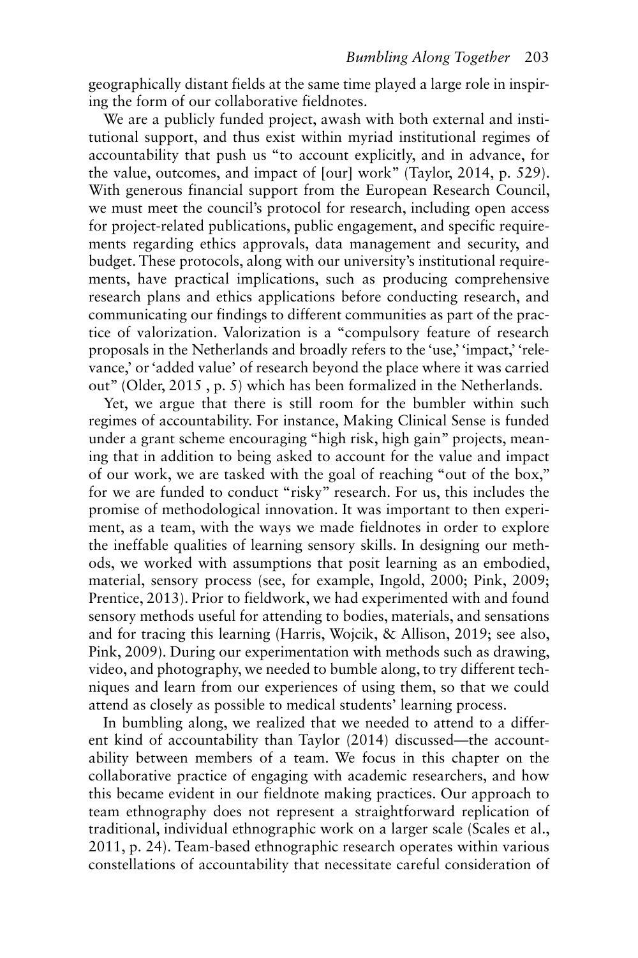geographically distant fields at the same time played a large role in inspiring the form of our collaborative fieldnotes.

We are a publicly funded project, awash with both external and institutional support, and thus exist within myriad institutional regimes of accountability that push us "to account explicitly, and in advance, for the value, outcomes, and impact of [our] work" (Taylor, 2014, p. 529). With generous financial support from the European Research Council, we must meet the council's protocol for research, including open access for project-related publications, public engagement, and specific requirements regarding ethics approvals, data management and security, and budget. These protocols, along with our university's institutional requirements, have practical implications, such as producing comprehensive research plans and ethics applications before conducting research, and communicating our findings to different communities as part of the practice of valorization. Valorization is a "compulsory feature of research proposals in the Netherlands and broadly refers to the 'use,' 'impact,' 'relevance,' or 'added value' of research beyond the place where it was carried out" (Older, 2015 , p. 5) which has been formalized in the Netherlands.

material, sensory process (see, for example, Ingold, 2000; Pink, 2009; and for tracing this learning ( Harris, Wojcik, & Allison, 2019; see also, Yet, we argue that there is still room for the bumbler within such regimes of accountability. For instance, Making Clinical Sense is funded under a grant scheme encouraging "high risk, high gain" projects, meaning that in addition to being asked to account for the value and impact of our work, we are tasked with the goal of reaching "out of the box," for we are funded to conduct "risky" research. For us, this includes the promise of methodological innovation. It was important to then experiment, as a team, with the ways we made fieldnotes in order to explore the ineffable qualities of learning sensory skills. In designing our methods, we worked with assumptions that posit learning as an embodied, Prentice, 2013). Prior to fieldwork, we had experimented with and found sensory methods useful for attending to bodies, materials, and sensations Pink, 2009). During our experimentation with methods such as drawing, video, and photography, we needed to bumble along, to try different techniques and learn from our experiences of using them, so that we could attend as closely as possible to medical students' learning process.

In bumbling along, we realized that we needed to attend to a different kind of accountability than Taylor (2014) discussed—the accountability between members of a team. We focus in this chapter on the collaborative practice of engaging with academic researchers, and how this became evident in our fieldnote making practices. Our approach to team ethnography does not represent a straightforward replication of traditional, individual ethnographic work on a larger scale (Scales et al., 2011 , p. 24). Team-based ethnographic research operates within various constellations of accountability that necessitate careful consideration of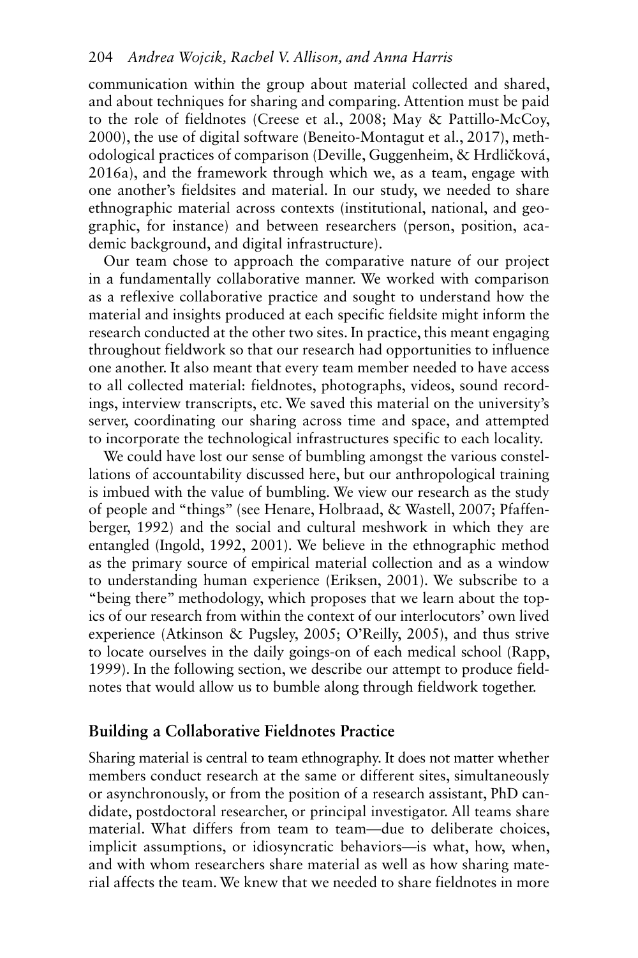communication within the group about material collected and shared, and about techniques for sharing and comparing. Attention must be paid to the role of fieldnotes (Creese et al., 2008; May & Pattillo-McCoy, 2000), the use of digital software (Beneito-Montagut et al., 2017), methodological practices of comparison ( Deville, Guggenheim, & Hrdličková, 2016a), and the framework through which we, as a team, engage with one another's fieldsites and material. In our study, we needed to share ethnographic material across contexts (institutional, national, and geographic, for instance) and between researchers (person, position, academic background, and digital infrastructure).

Our team chose to approach the comparative nature of our project in a fundamentally collaborative manner. We worked with comparison as a reflexive collaborative practice and sought to understand how the material and insights produced at each specific fieldsite might inform the research conducted at the other two sites. In practice, this meant engaging throughout fieldwork so that our research had opportunities to influence one another. It also meant that every team member needed to have access to all collected material: fieldnotes, photographs, videos, sound recordings, interview transcripts, etc. We saved this material on the university's server, coordinating our sharing across time and space, and attempted to incorporate the technological infrastructures specific to each locality.

We could have lost our sense of bumbling amongst the various constellations of accountability discussed here, but our anthropological training is imbued with the value of bumbling. We view our research as the study of people and "things" (see Henare, Holbraad, & Wastell, 2007 ; Pfaffenberger, 1992) and the social and cultural meshwork in which they are entangled (Ingold, 1992, 2001). We believe in the ethnographic method as the primary source of empirical material collection and as a window to understanding human experience (Eriksen, 2001). We subscribe to a "being there" methodology, which proposes that we learn about the topics of our research from within the context of our interlocutors' own lived experience (Atkinson & Pugsley, 2005; O'Reilly, 2005), and thus strive to locate ourselves in the daily goings-on of each medical school (Rapp, 1999). In the following section, we describe our attempt to produce fieldnotes that would allow us to bumble along through fieldwork together.

# **Building a Collaborative Fieldnotes Practice**

Sharing material is central to team ethnography. It does not matter whether members conduct research at the same or different sites, simultaneously or asynchronously, or from the position of a research assistant, PhD candidate, postdoctoral researcher, or principal investigator. All teams share material. What differs from team to team—due to deliberate choices, implicit assumptions, or idiosyncratic behaviors—is what, how, when, and with whom researchers share material as well as how sharing material affects the team. We knew that we needed to share fieldnotes in more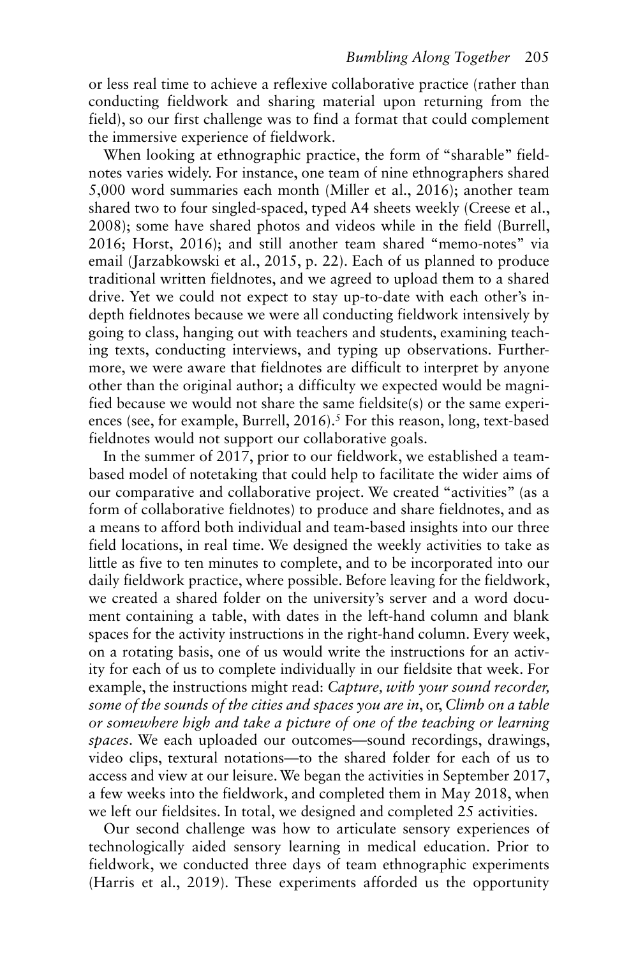or less real time to achieve a reflexive collaborative practice (rather than conducting fieldwork and sharing material upon returning from the field), so our first challenge was to find a format that could complement the immersive experience of fieldwork.

ences (see, for example, Burrell, 2016).<sup>5</sup> For this reason, long, text-based When looking at ethnographic practice, the form of "sharable" fieldnotes varies widely. For instance, one team of nine ethnographers shared 5,000 word summaries each month (Miller et al., 2016); another team shared two to four singled-spaced, typed A4 sheets weekly (Creese et al., 2008); some have shared photos and videos while in the field (Burrell, 2016; Horst, 2016); and still another team shared "memo-notes" via email (Jarzabkowski et al., 2015, p. 22). Each of us planned to produce traditional written fieldnotes, and we agreed to upload them to a shared drive. Yet we could not expect to stay up-to-date with each other's indepth fieldnotes because we were all conducting fieldwork intensively by going to class, hanging out with teachers and students, examining teaching texts, conducting interviews, and typing up observations. Furthermore, we were aware that fieldnotes are difficult to interpret by anyone other than the original author; a difficulty we expected would be magnified because we would not share the same fieldsite(s) or the same experifieldnotes would not support our collaborative goals.

In the summer of 2017, prior to our fieldwork, we established a teambased model of notetaking that could help to facilitate the wider aims of our comparative and collaborative project. We created "activities" (as a form of collaborative fieldnotes) to produce and share fieldnotes, and as a means to afford both individual and team-based insights into our three field locations, in real time. We designed the weekly activities to take as little as five to ten minutes to complete, and to be incorporated into our daily fieldwork practice, where possible. Before leaving for the fieldwork, we created a shared folder on the university's server and a word document containing a table, with dates in the left-hand column and blank spaces for the activity instructions in the right-hand column. Every week, on a rotating basis, one of us would write the instructions for an activity for each of us to complete individually in our fieldsite that week. For example, the instructions might read: *Capture, with your sound recorder, some of the sounds of the cities and spaces you are in*, or, *Climb on a table or somewhere high and take a picture of one of the teaching or learning spaces*. We each uploaded our outcomes—sound recordings, drawings, video clips, textural notations—to the shared folder for each of us to access and view at our leisure. We began the activities in September 2017, a few weeks into the fieldwork, and completed them in May 2018, when we left our fieldsites. In total, we designed and completed 25 activities.

(Harris et al., 2019). These experiments afforded us the opportunity Our second challenge was how to articulate sensory experiences of technologically aided sensory learning in medical education. Prior to fieldwork, we conducted three days of team ethnographic experiments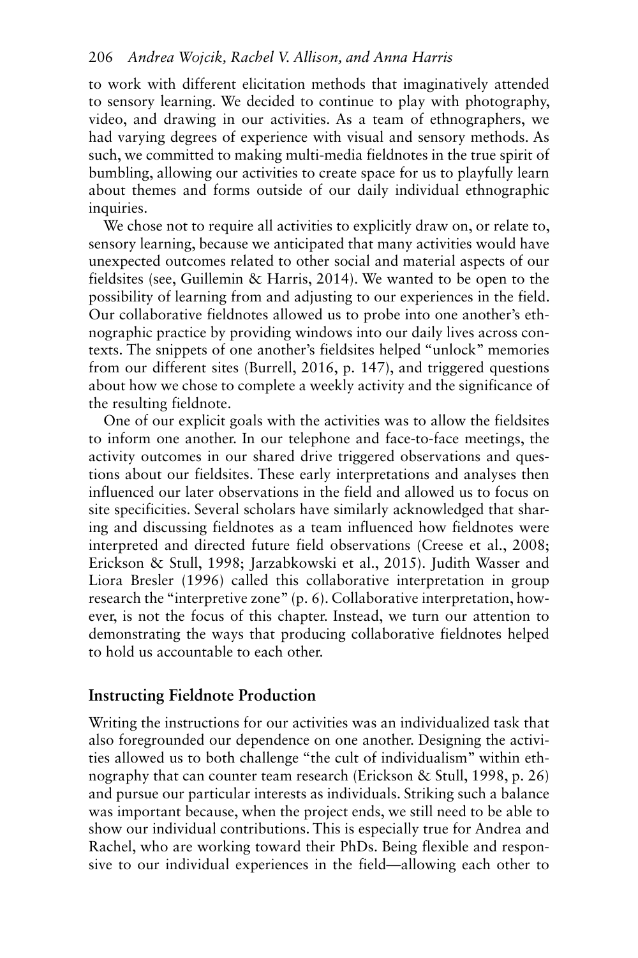to work with different elicitation methods that imaginatively attended to sensory learning. We decided to continue to play with photography, video, and drawing in our activities. As a team of ethnographers, we had varying degrees of experience with visual and sensory methods. As such, we committed to making multi-media fieldnotes in the true spirit of bumbling, allowing our activities to create space for us to playfully learn about themes and forms outside of our daily individual ethnographic inquiries.

 fieldsites (see, Guillemin & Harris, 2014 ). We wanted to be open to the We chose not to require all activities to explicitly draw on, or relate to, sensory learning, because we anticipated that many activities would have unexpected outcomes related to other social and material aspects of our possibility of learning from and adjusting to our experiences in the field. Our collaborative fieldnotes allowed us to probe into one another's ethnographic practice by providing windows into our daily lives across contexts. The snippets of one another's fieldsites helped "unlock" memories from our different sites (Burrell, 2016, p. 147), and triggered questions about how we chose to complete a weekly activity and the significance of the resulting fieldnote.

Erickson & Stull, 1998; Jarzabkowski et al., 2015). Judith Wasser and One of our explicit goals with the activities was to allow the fieldsites to inform one another. In our telephone and face-to-face meetings, the activity outcomes in our shared drive triggered observations and questions about our fieldsites. These early interpretations and analyses then influenced our later observations in the field and allowed us to focus on site specificities. Several scholars have similarly acknowledged that sharing and discussing fieldnotes as a team influenced how fieldnotes were interpreted and directed future field observations (Creese et al., 2008; Liora Bresler (1996) called this collaborative interpretation in group research the "interpretive zone" (p. 6). Collaborative interpretation, however, is not the focus of this chapter. Instead, we turn our attention to demonstrating the ways that producing collaborative fieldnotes helped to hold us accountable to each other.

# **Instructing Fieldnote Production**

Writing the instructions for our activities was an individualized task that also foregrounded our dependence on one another. Designing the activities allowed us to both challenge "the cult of individualism" within ethnography that can counter team research (Erickson & Stull, 1998, p. 26) and pursue our particular interests as individuals. Striking such a balance was important because, when the project ends, we still need to be able to show our individual contributions. This is especially true for Andrea and Rachel, who are working toward their PhDs. Being flexible and responsive to our individual experiences in the field—allowing each other to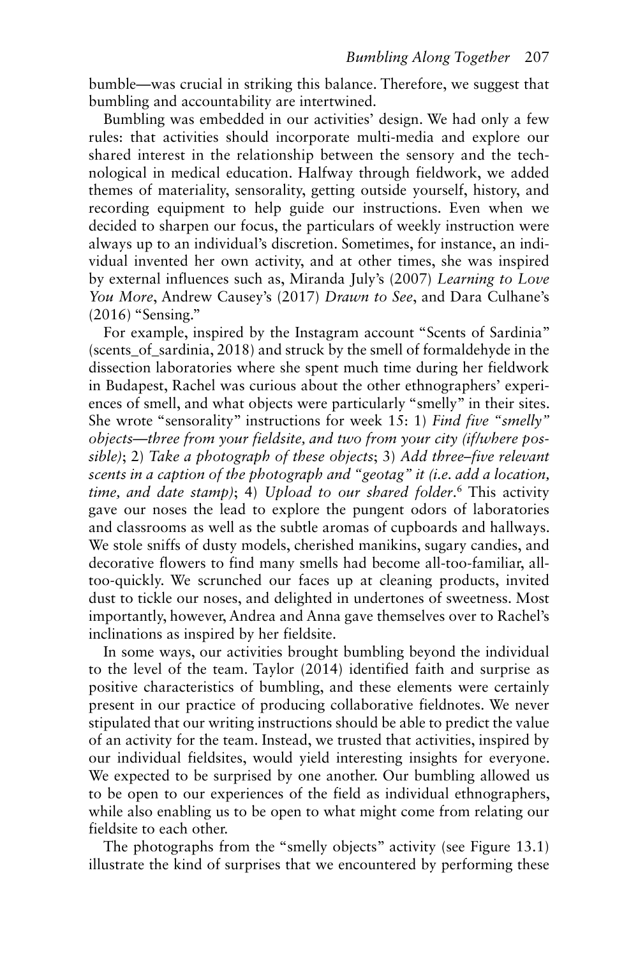bumble—was crucial in striking this balance. Therefore, we suggest that bumbling and accountability are intertwined.

Bumbling was embedded in our activities' design. We had only a few rules: that activities should incorporate multi-media and explore our shared interest in the relationship between the sensory and the technological in medical education. Halfway through fieldwork, we added themes of materiality, sensorality, getting outside yourself, history, and recording equipment to help guide our instructions. Even when we decided to sharpen our focus, the particulars of weekly instruction were always up to an individual's discretion. Sometimes, for instance, an individual invented her own activity, and at other times, she was inspired by external influences such as, Miranda July's (2007 ) *Learning to Love You More*, Andrew Causey's (2017 ) *Drawn to See*, and Dara Culhane's (2016) "Sensing."

 She wrote "sensorality" instructions for week 15: 1) *Find five "smelly" time, and date stamp)*; 4) *Upload to our shared folder*.6 This activity For example, inspired by the Instagram account "Scents of Sardinia" (scents of sardinia, 2018) and struck by the smell of formaldehyde in the dissection laboratories where she spent much time during her fieldwork in Budapest, Rachel was curious about the other ethnographers' experiences of smell, and what objects were particularly "smelly" in their sites. *objects—three from your fieldsite, and two from your city (if/where possible)*; 2) *Take a photograph of these objects*; 3) *Add three–five relevant scents in a caption of the photograph and "geotag" it (i.e. add a location,*  gave our noses the lead to explore the pungent odors of laboratories and classrooms as well as the subtle aromas of cupboards and hallways. We stole sniffs of dusty models, cherished manikins, sugary candies, and decorative flowers to find many smells had become all-too-familiar, alltoo-quickly. We scrunched our faces up at cleaning products, invited dust to tickle our noses, and delighted in undertones of sweetness. Most importantly, however, Andrea and Anna gave themselves over to Rachel's inclinations as inspired by her fieldsite.

 to the level of the team. Taylor (2014 ) identified faith and surprise as In some ways, our activities brought bumbling beyond the individual positive characteristics of bumbling, and these elements were certainly present in our practice of producing collaborative fieldnotes. We never stipulated that our writing instructions should be able to predict the value of an activity for the team. Instead, we trusted that activities, inspired by our individual fieldsites, would yield interesting insights for everyone. We expected to be surprised by one another. Our bumbling allowed us to be open to our experiences of the field as individual ethnographers, while also enabling us to be open to what might come from relating our fieldsite to each other.

The photographs from the "smelly objects" activity (see Figure 13.1) illustrate the kind of surprises that we encountered by performing these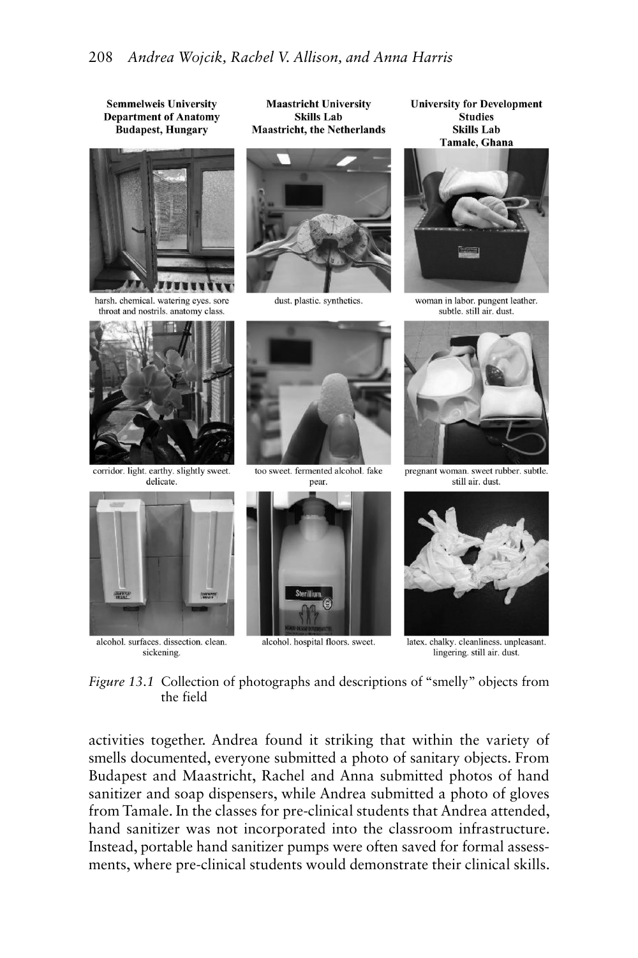

alcohol. hospital floors. sweet.

sickening.

latex. chalky. cleanliness. unpleasant. lingering, still air, dust.

 *Figure 13.1* Collection of photographs and descriptions of "smelly" objects from the field

activities together. Andrea found it striking that within the variety of smells documented, everyone submitted a photo of sanitary objects. From Budapest and Maastricht, Rachel and Anna submitted photos of hand sanitizer and soap dispensers, while Andrea submitted a photo of gloves from Tamale. In the classes for pre-clinical students that Andrea attended, hand sanitizer was not incorporated into the classroom infrastructure. Instead, portable hand sanitizer pumps were often saved for formal assessments, where pre-clinical students would demonstrate their clinical skills.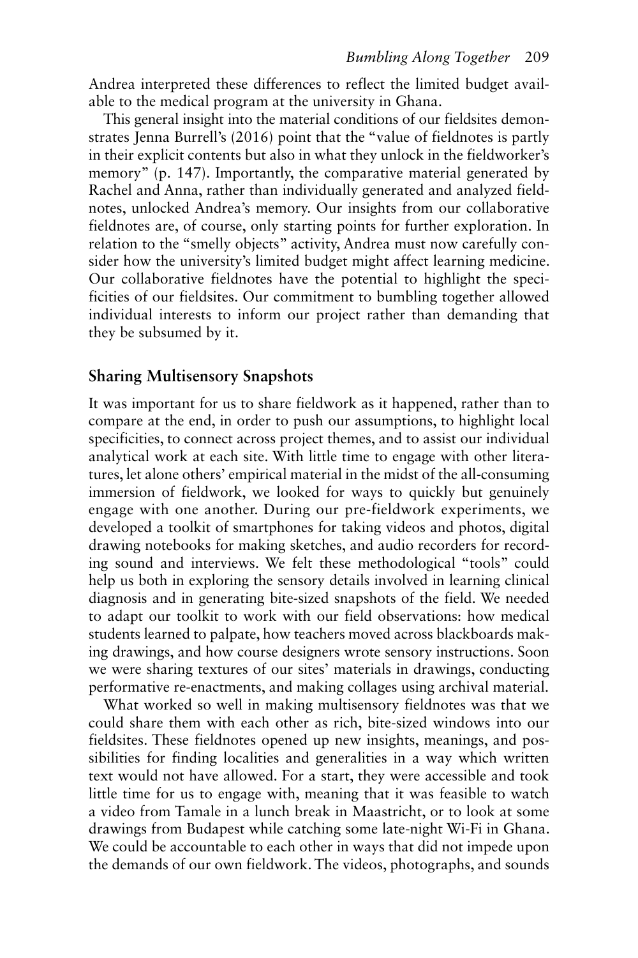Andrea interpreted these differences to reflect the limited budget available to the medical program at the university in Ghana.

This general insight into the material conditions of our fieldsites demonstrates Jenna Burrell's (2016) point that the "value of fieldnotes is partly in their explicit contents but also in what they unlock in the fieldworker's memory" (p. 147). Importantly, the comparative material generated by Rachel and Anna, rather than individually generated and analyzed fieldnotes, unlocked Andrea's memory. Our insights from our collaborative fieldnotes are, of course, only starting points for further exploration. In relation to the "smelly objects" activity, Andrea must now carefully consider how the university's limited budget might affect learning medicine. Our collaborative fieldnotes have the potential to highlight the specificities of our fieldsites. Our commitment to bumbling together allowed individual interests to inform our project rather than demanding that they be subsumed by it.

# **Sharing Multisensory Snapshots**

It was important for us to share fieldwork as it happened, rather than to compare at the end, in order to push our assumptions, to highlight local specificities, to connect across project themes, and to assist our individual analytical work at each site. With little time to engage with other literatures, let alone others' empirical material in the midst of the all-consuming immersion of fieldwork, we looked for ways to quickly but genuinely engage with one another. During our pre-fieldwork experiments, we developed a toolkit of smartphones for taking videos and photos, digital drawing notebooks for making sketches, and audio recorders for recording sound and interviews. We felt these methodological "tools" could help us both in exploring the sensory details involved in learning clinical diagnosis and in generating bite-sized snapshots of the field. We needed to adapt our toolkit to work with our field observations: how medical students learned to palpate, how teachers moved across blackboards making drawings, and how course designers wrote sensory instructions. Soon we were sharing textures of our sites' materials in drawings, conducting performative re-enactments, and making collages using archival material.

What worked so well in making multisensory fieldnotes was that we could share them with each other as rich, bite-sized windows into our fieldsites. These fieldnotes opened up new insights, meanings, and possibilities for finding localities and generalities in a way which written text would not have allowed. For a start, they were accessible and took little time for us to engage with, meaning that it was feasible to watch a video from Tamale in a lunch break in Maastricht, or to look at some drawings from Budapest while catching some late-night Wi-Fi in Ghana. We could be accountable to each other in ways that did not impede upon the demands of our own fieldwork. The videos, photographs, and sounds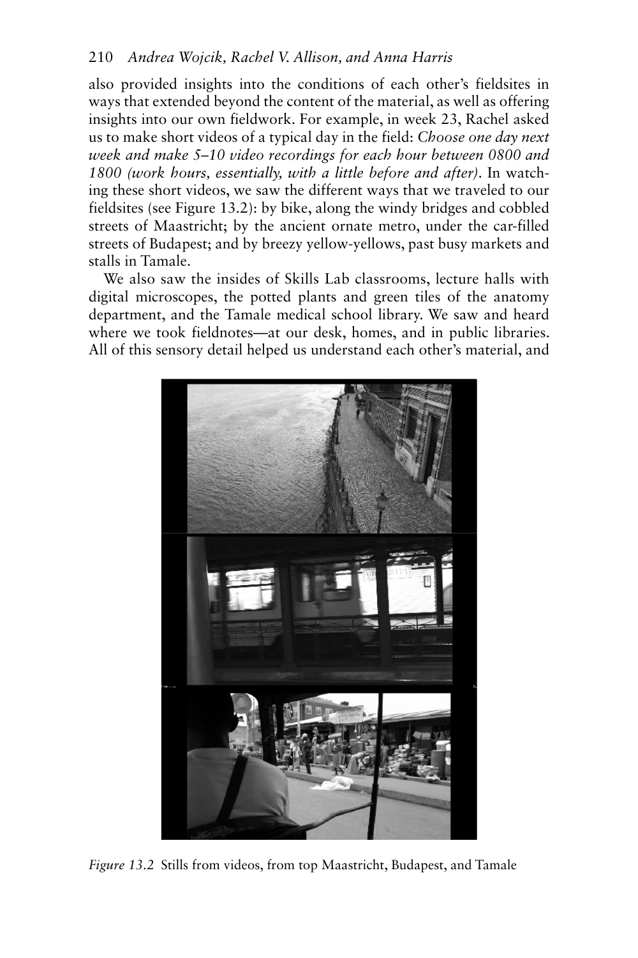also provided insights into the conditions of each other's fieldsites in ways that extended beyond the content of the material, as well as offering insights into our own fieldwork. For example, in week 23, Rachel asked us to make short videos of a typical day in the field: *Choose one day next week and make 5–10 video recordings for each hour between 0800 and 1800 (work hours, essentially, with a little before and after)*. In watching these short videos, we saw the different ways that we traveled to our fieldsites (see Figure 13.2): by bike, along the windy bridges and cobbled streets of Maastricht; by the ancient ornate metro, under the car-filled streets of Budapest; and by breezy yellow-yellows, past busy markets and stalls in Tamale.

We also saw the insides of Skills Lab classrooms, lecture halls with digital microscopes, the potted plants and green tiles of the anatomy department, and the Tamale medical school library. We saw and heard where we took fieldnotes—at our desk, homes, and in public libraries. All of this sensory detail helped us understand each other's material, and



 *Figure 13.2* Stills from videos, from top Maastricht, Budapest, and Tamale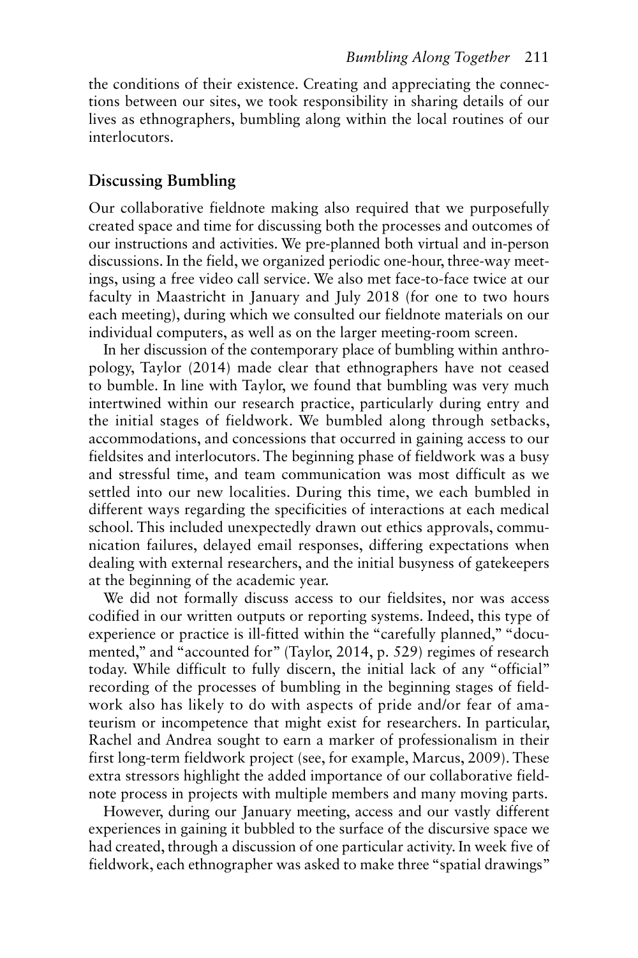the conditions of their existence. Creating and appreciating the connections between our sites, we took responsibility in sharing details of our lives as ethnographers, bumbling along within the local routines of our interlocutors.

# **Discussing Bumbling**

Our collaborative fieldnote making also required that we purposefully created space and time for discussing both the processes and outcomes of our instructions and activities. We pre-planned both virtual and in-person discussions. In the field, we organized periodic one-hour, three-way meetings, using a free video call service. We also met face-to-face twice at our faculty in Maastricht in January and July 2018 (for one to two hours each meeting), during which we consulted our fieldnote materials on our individual computers, as well as on the larger meeting-room screen.

pology, Taylor (2014) made clear that ethnographers have not ceased In her discussion of the contemporary place of bumbling within anthroto bumble. In line with Taylor, we found that bumbling was very much intertwined within our research practice, particularly during entry and the initial stages of fieldwork. We bumbled along through setbacks, accommodations, and concessions that occurred in gaining access to our fieldsites and interlocutors. The beginning phase of fieldwork was a busy and stressful time, and team communication was most difficult as we settled into our new localities. During this time, we each bumbled in different ways regarding the specificities of interactions at each medical school. This included unexpectedly drawn out ethics approvals, communication failures, delayed email responses, differing expectations when dealing with external researchers, and the initial busyness of gatekeepers at the beginning of the academic year.

We did not formally discuss access to our fieldsites, nor was access codified in our written outputs or reporting systems. Indeed, this type of experience or practice is ill-fitted within the "carefully planned," "documented," and "accounted for" (Taylor, 2014, p. 529) regimes of research today. While difficult to fully discern, the initial lack of any "official" recording of the processes of bumbling in the beginning stages of fieldwork also has likely to do with aspects of pride and/or fear of amateurism or incompetence that might exist for researchers. In particular, Rachel and Andrea sought to earn a marker of professionalism in their first long-term fieldwork project (see, for example, Marcus, 2009). These extra stressors highlight the added importance of our collaborative fieldnote process in projects with multiple members and many moving parts.

However, during our January meeting, access and our vastly different experiences in gaining it bubbled to the surface of the discursive space we had created, through a discussion of one particular activity. In week five of fieldwork, each ethnographer was asked to make three "spatial drawings"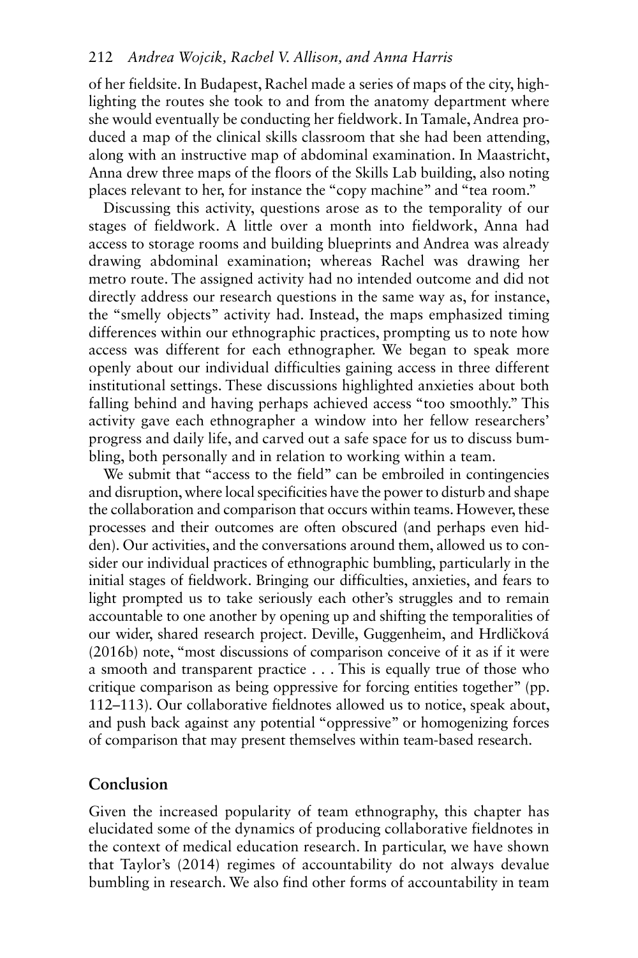of her fieldsite. In Budapest, Rachel made a series of maps of the city, highlighting the routes she took to and from the anatomy department where she would eventually be conducting her fieldwork. In Tamale, Andrea produced a map of the clinical skills classroom that she had been attending, along with an instructive map of abdominal examination. In Maastricht, Anna drew three maps of the floors of the Skills Lab building, also noting places relevant to her, for instance the "copy machine" and "tea room."

Discussing this activity, questions arose as to the temporality of our stages of fieldwork. A little over a month into fieldwork, Anna had access to storage rooms and building blueprints and Andrea was already drawing abdominal examination; whereas Rachel was drawing her metro route. The assigned activity had no intended outcome and did not directly address our research questions in the same way as, for instance, the "smelly objects" activity had. Instead, the maps emphasized timing differences within our ethnographic practices, prompting us to note how access was different for each ethnographer. We began to speak more openly about our individual difficulties gaining access in three different institutional settings. These discussions highlighted anxieties about both falling behind and having perhaps achieved access "too smoothly." This activity gave each ethnographer a window into her fellow researchers' progress and daily life, and carved out a safe space for us to discuss bumbling, both personally and in relation to working within a team.

We submit that "access to the field" can be embroiled in contingencies and disruption, where local specificities have the power to disturb and shape the collaboration and comparison that occurs within teams. However, these processes and their outcomes are often obscured (and perhaps even hidden). Our activities, and the conversations around them, allowed us to consider our individual practices of ethnographic bumbling, particularly in the initial stages of fieldwork. Bringing our difficulties, anxieties, and fears to light prompted us to take seriously each other's struggles and to remain accountable to one another by opening up and shifting the temporalities of our wider, shared research project. Deville, Guggenheim, and Hrdličková (2016b) note, "most discussions of comparison conceive of it as if it were a smooth and transparent practice . . . This is equally true of those who critique comparison as being oppressive for forcing entities together" (pp. 112–113). Our collaborative fieldnotes allowed us to notice, speak about, and push back against any potential "oppressive" or homogenizing forces of comparison that may present themselves within team-based research.

### **Conclusion**

Given the increased popularity of team ethnography, this chapter has elucidated some of the dynamics of producing collaborative fieldnotes in the context of medical education research. In particular, we have shown that Taylor's (2014) regimes of accountability do not always devalue bumbling in research. We also find other forms of accountability in team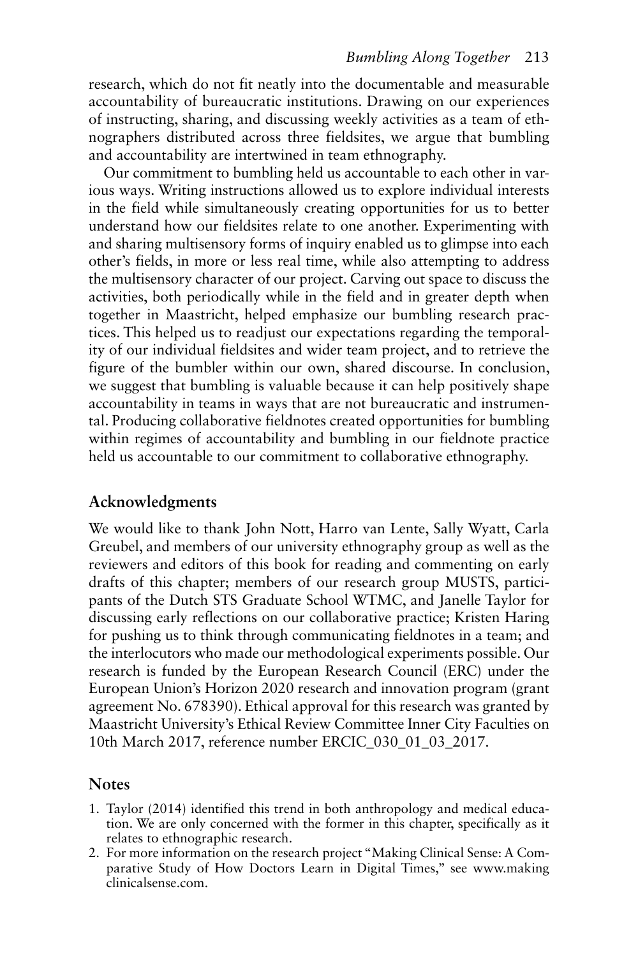research, which do not fit neatly into the documentable and measurable accountability of bureaucratic institutions. Drawing on our experiences of instructing, sharing, and discussing weekly activities as a team of ethnographers distributed across three fieldsites, we argue that bumbling and accountability are intertwined in team ethnography.

Our commitment to bumbling held us accountable to each other in various ways. Writing instructions allowed us to explore individual interests in the field while simultaneously creating opportunities for us to better understand how our fieldsites relate to one another. Experimenting with and sharing multisensory forms of inquiry enabled us to glimpse into each other's fields, in more or less real time, while also attempting to address the multisensory character of our project. Carving out space to discuss the activities, both periodically while in the field and in greater depth when together in Maastricht, helped emphasize our bumbling research practices. This helped us to readjust our expectations regarding the temporality of our individual fieldsites and wider team project, and to retrieve the figure of the bumbler within our own, shared discourse. In conclusion, we suggest that bumbling is valuable because it can help positively shape accountability in teams in ways that are not bureaucratic and instrumental. Producing collaborative fieldnotes created opportunities for bumbling within regimes of accountability and bumbling in our fieldnote practice held us accountable to our commitment to collaborative ethnography.

#### **Acknowledgments**

We would like to thank John Nott, Harro van Lente, Sally Wyatt, Carla Greubel, and members of our university ethnography group as well as the reviewers and editors of this book for reading and commenting on early drafts of this chapter; members of our research group MUSTS, participants of the Dutch STS Graduate School WTMC, and Janelle Taylor for discussing early reflections on our collaborative practice; Kristen Haring for pushing us to think through communicating fieldnotes in a team; and the interlocutors who made our methodological experiments possible. Our research is funded by the European Research Council (ERC) under the European Union's Horizon 2020 research and innovation program (grant agreement No. 678390). Ethical approval for this research was granted by Maastricht University's Ethical Review Committee Inner City Faculties on 10th March 2017, reference number ERCIC\_030\_01\_03\_2017.

#### **Notes**

- 1. Taylor (2014) identified this trend in both anthropology and medical education. We are only concerned with the former in this chapter, specifically as it relates to ethnographic research.
- 2. For more information on the research project "Making Clinical Sense: A Comparative Study of How Doctors Learn in Digital Times," see [www.making](http://www.makingclinicalsense.com)  [clinicalsense.com](http://www.makingclinicalsense.com) .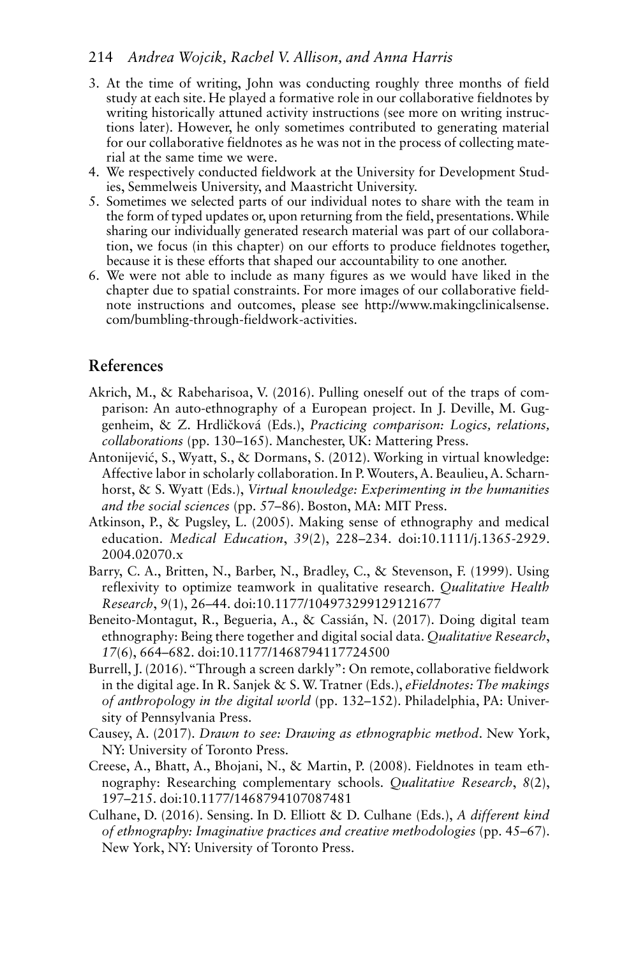- 3. At the time of writing, John was conducting roughly three months of field study at each site. He played a formative role in our collaborative fieldnotes by writing historically attuned activity instructions (see more on writing instructions later). However, he only sometimes contributed to generating material for our collaborative fieldnotes as he was not in the process of collecting material at the same time we were.
- 4. We respectively conducted fieldwork at the University for Development Studies, Semmelweis University, and Maastricht University.
- 5. Sometimes we selected parts of our individual notes to share with the team in the form of typed updates or, upon returning from the field, presentations.While sharing our individually generated research material was part of our collaboration, we focus (in this chapter) on our efforts to produce fieldnotes together, because it is these efforts that shaped our accountability to one another.
- 6. We were not able to include as many figures as we would have liked in the chapter due to spatial constraints. For more images of our collaborative fieldnote instructions and outcomes, please see [http://www.makingclinicalsense.](http://www.makingclinicalsense.com)  [com/bumbling-through-fieldwork-activities .](http://www.makingclinicalsense.com)

# **References**

- genheim, & Z. Hrdličková (Eds.), *Practicing comparison: Logics, relations,*  Akrich, M., & Rabeharisoa, V. (2016). Pulling oneself out of the traps of comparison: An auto-ethnography of a European project. In J. Deville, M. Gug*collaborations* (pp. 130–165). Manchester, UK: Mattering Press.
- Affective labor in scholarly collaboration. In P. Wouters, A. Beaulieu, A. Scharn- horst, & S. Wyatt (Eds.), *Virtual knowledge: Experimenting in the humanities*  Antonijević, S., Wyatt, S., & Dormans, S. (2012). Working in virtual knowledge: *and the social sciences* (pp. 57–86). Boston, MA: MIT Press.
- education. *Medical Education*, *39*(2), 228–234. doi:10.1111/j.1365-2929. Atkinson, P., & Pugsley, L. (2005). Making sense of ethnography and medical 2004.02070.x
- reflexivity to optimize teamwork in qualitative research. *Qualitative Health Research*, *9*(1), 26–44. doi:10.1177/104973299129121677 Barry, C. A., Britten, N., Barber, N., Bradley, C., & Stevenson, F. (1999). Using
- ethnography: Being there together and digital social data. *Qualitative Research*, *17*(6), 664–682. doi:10.1177/1468794117724500 Beneito-Montagut, R., Begueria, A., & Cassián, N. (2017). Doing digital team
- in the digital age. In R. Sanjek & S. W. Tratner (Eds.), *eFieldnotes: The makings*  Burrell, J. (2016)."Through a screen darkly": On remote, collaborative fieldwork *of anthropology in the digital world* (pp. 132–152). Philadelphia, PA: University of Pennsylvania Press.
- Causey, A. (2017). *Drawn to see: Drawing as ethnographic method*. New York, NY: University of Toronto Press.
- Creese, A., Bhatt, A., Bhojani, N., & Martin, P. (2008). Fieldnotes in team eth- nography: Researching complementary schools. *Qualitative Research*, *8*(2), 197–215. doi:10.1177/1468794107087481
- Culhane, D. (2016). Sensing. In D. Elliott & D. Culhane (Eds.), *A different kind of ethnography: Imaginative practices and creative methodologies* (pp. 45–67). New York, NY: University of Toronto Press.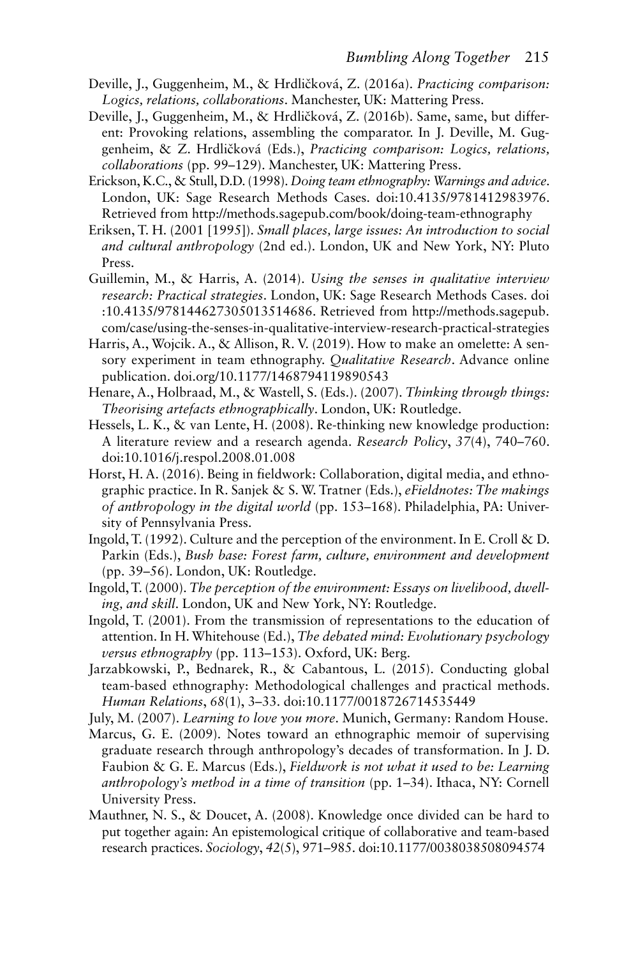- Deville, J., Guggenheim, M., & Hrdličková, Z. (2016a). *Practicing comparison: Logics, relations, collaborations*. Manchester, UK: Mattering Press.
- genheim, & Z. Hrdličková (Eds.), *Practicing comparison: Logics, relations,*  Deville, J., Guggenheim, M., & Hrdličková, Z. (2016b). Same, same, but different: Provoking relations, assembling the comparator. In J. Deville, M. Gug*collaborations* (pp. 99–129). Manchester, UK: Mattering Press.
- Erickson, K.C., & Stull, D.D. (1998). *Doing team ethnography: Warnings and advice*. London, UK: Sage Research Methods Cases. doi:10.4135/9781412983976. Retrieved from [http://methods.sagepub.com/book/doing-team-ethnography](http://methods.sagepub.com)
- Eriksen, T. H. (2001 [1995]). *Small places, large issues: An introduction to social and cultural anthropology* (2nd ed.). London, UK and New York, NY: Pluto Press.
- Guillemin, M., & Harris, A. (2014). *Using the senses in qualitative interview research: Practical strategies*. London, UK: Sage Research Methods Cases. doi :10.4135/978144627305013514686. Retrieved from [http://methods.sagepub.](http://methods.sagepub.com) [com/case/using-the-senses-in-qualitative-interview-research-practical-strategies](http://methods.sagepub.com)
- Harris, A., Wojcik. A., & Allison, R. V. (2019). How to make an omelette: A sen- sory experiment in team ethnography. *Qualitative Research*. Advance online publication. [doi.org/10.1177/1468794119890543](http://doi.org)
- Henare, A., Holbraad, M., & Wastell, S. (Eds.). (2007). *Thinking through things: Theorising artefacts ethnographically*. London, UK: Routledge.
- A literature review and a research agenda. *Research Policy*, *37*(4), 740–760. Hessels, L. K., & van Lente, H. (2008). Re-thinking new knowledge production: doi:10.1016/j.respol.2008.01.008
- graphic practice. In R. Sanjek & S. W. Tratner (Eds.), *eFieldnotes: The makings*  Horst, H. A. (2016). Being in fieldwork: Collaboration, digital media, and ethno*of anthropology in the digital world* (pp. 153–168). Philadelphia, PA: University of Pennsylvania Press.
- Parkin (Eds.), *Bush base: Forest farm, culture, environment and development*  Ingold, T. (1992). Culture and the perception of the environment. In E. Croll & D. (pp. 39–56). London, UK: Routledge.
- Ingold, T. (2000). *The perception of the environment: Essays on livelihood, dwelling, and skill*. London, UK and New York, NY: Routledge.
- attention. In H. Whitehouse (Ed.), *The debated mind: Evolutionary psychology*  Ingold, T. (2001). From the transmission of representations to the education of *versus ethnography* (pp. 113–153). Oxford, UK: Berg.
- *Human Relations*, *68*(1), 3–33. doi:10.1177/0018726714535449 Jarzabkowski, P., Bednarek, R., & Cabantous, L. (2015). Conducting global team-based ethnography: Methodological challenges and practical methods.
- July, M. (2007). *Learning to love you more*. Munich, Germany: Random House.
- Faubion & G. E. Marcus (Eds.), *Fieldwork is not what it used to be: Learning*  Marcus, G. E. (2009). Notes toward an ethnographic memoir of supervising graduate research through anthropology's decades of transformation. In J. D. *anthropology's method in a time of transition* (pp. 1–34). Ithaca, NY: Cornell University Press.
- research practices. *Sociology*, *42*(5), 971–985. doi:10.1177/0038038508094574 Mauthner, N. S., & Doucet, A. (2008). Knowledge once divided can be hard to put together again: An epistemological critique of collaborative and team-based